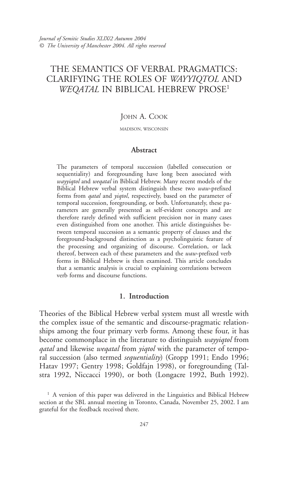# THE SEMANTICS OF VERBAL PRAGMATICS: CLARIFYING THE ROLES OF WAYYIQTOL AND WEQATAL IN BIBLICAL HEBREW PROSE<sup>1</sup>

# JOHN A. COOK

MADISON, WISCONSIN

## Abstract

The parameters of temporal succession (labelled consecution or sequentiality) and foregrounding have long been associated with wayyiqtol and weqatal in Biblical Hebrew. Many recent models of the Biblical Hebrew verbal system distinguish these two waw-prefixed forms from *qatal* and *yiqtol*, respectively, based on the parameter of temporal succession, foregrounding, or both. Unfortunately, these parameters are generally presented as self-evident concepts and are therefore rarely defined with sufficient precision nor in many cases even distinguished from one another. This article distinguishes between temporal succession as a semantic property of clauses and the foreground-background distinction as a psycholinguistic feature of the processing and organizing of discourse. Correlation, or lack thereof, between each of these parameters and the waw-prefixed verb forms in Biblical Hebrew is then examined. This article concludes that a semantic analysis is crucial to explaining correlations between verb forms and discourse functions.

## 1. Introduction

Theories of the Biblical Hebrew verbal system must all wrestle with the complex issue of the semantic and discourse-pragmatic relationships among the four primary verb forms. Among these four, it has become commonplace in the literature to distinguish *wayyiqtol* from *gatal* and likewise *wegatal* from *yiqtol* with the parameter of temporal succession (also termed *sequentiality*) (Gropp 1991; Endo 1996; Hatav 1997; Gentry 1998; Goldfajn 1998), or foregrounding (Talstra 1992, Niccacci 1990), or both (Longacre 1992, Buth 1992).

<sup>&</sup>lt;sup>1</sup> A version of this paper was delivered in the Linguistics and Biblical Hebrew section at the SBL annual meeting in Toronto, Canada, November 25, 2002. I am grateful for the feedback received there.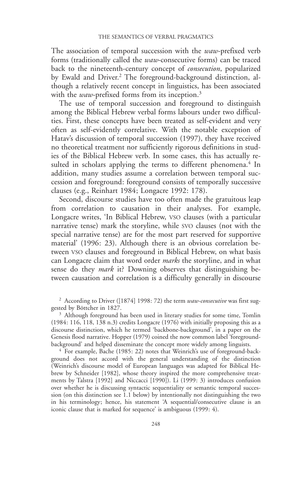The association of temporal succession with the waw-prefixed verb forms (traditionally called the waw-consecutive forms) can be traced back to the nineteenth-century concept of consecution, popularized by Ewald and Driver.2 The foreground-background distinction, although a relatively recent concept in linguistics, has been associated with the *waw*-prefixed forms from its inception.<sup>3</sup>

The use of temporal succession and foreground to distinguish among the Biblical Hebrew verbal forms labours under two difficulties. First, these concepts have been treated as self-evident and very often as self-evidently correlative. With the notable exception of Hatav's discussion of temporal succession (1997), they have received no theoretical treatment nor sufficiently rigorous definitions in studies of the Biblical Hebrew verb. In some cases, this has actually resulted in scholars applying the terms to different phenomena.<sup>4</sup> In addition, many studies assume a correlation between temporal succession and foreground: foreground consists of temporally successive clauses (e.g., Reinhart 1984; Longacre 1992: 178).

Second, discourse studies have too often made the gratuitous leap from correlation to causation in their analyses. For example, Longacre writes, 'In Biblical Hebrew, VSO clauses (with a particular narrative tense) mark the storyline, while SVO clauses (not with the special narrative tense) are for the most part reserved for supportive material' (1996: 23). Although there is an obvious correlation between VSO clauses and foreground in Biblical Hebrew, on what basis can Longacre claim that word order *marks* the storyline, and in what sense do they *mark* it? Downing observes that distinguishing between causation and correlation is a difficulty generally in discourse

<sup>2</sup> According to Driver ([1874] 1998: 72) the term *waw-consecutive* was first suggested by Böttcher in 1827.

<sup>3</sup> Although foreground has been used in literary studies for some time, Tomlin (1984: 116, 118, 138 n.3) credits Longacre (1976) with initially proposing this as a discourse distinction, which he termed 'backbone-background', in a paper on the Genesis flood narrative. Hopper (1979) coined the now common label 'foregroundbackground' and helped disseminate the concept more widely among linguists.

<sup>4</sup> For example, Bache (1985: 22) notes that Weinrich's use of foreground-background does not accord with the general understanding of the distinction (Weinrich's discourse model of European languages was adapted for Biblical Hebrew by Schneider [1982], whose theory inspired the more comprehensive treatments by Talstra [1992] and Niccacci [1990]). Li (1999: 3) introduces confusion over whether he is discussing syntactic sequentiality or semantic temporal succession (on this distinction see 1.1 below) by intentionally not distinguishing the two in his terminology; hence, his statement 'A sequential/consecutive clause is an iconic clause that is marked for sequence' is ambiguous (1999: 4).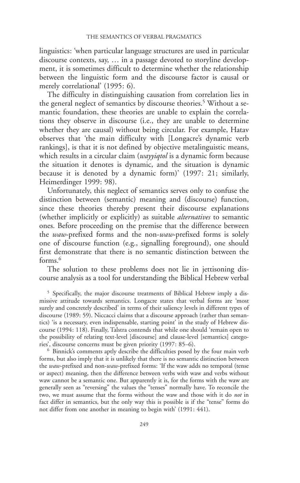linguistics: 'when particular language structures are used in particular discourse contexts, say, … in a passage devoted to storyline development, it is sometimes difficult to determine whether the relationship between the linguistic form and the discourse factor is causal or merely correlational' (1995: 6).

The difficulty in distinguishing causation from correlation lies in the general neglect of semantics by discourse theories.<sup>5</sup> Without a semantic foundation, these theories are unable to explain the correlations they observe in discourse (i.e., they are unable to determine whether they are causal) without being circular. For example, Hatav observes that 'the main difficulty with [Longacre's dynamic verb rankings], is that it is not defined by objective metalinguistic means, which results in a circular claim (*wayyiqtol* is a dynamic form because the situation it denotes is dynamic, and the situation is dynamic because it is denoted by a dynamic form)' (1997: 21; similarly, Heimerdinger 1999: 98).

Unfortunately, this neglect of semantics serves only to confuse the distinction between (semantic) meaning and (discourse) function, since these theories thereby present their discourse explanations (whether implicitly or explicitly) as suitable alternatives to semantic ones. Before proceeding on the premise that the difference between the waw-prefixed forms and the non-waw-prefixed forms is solely one of discourse function (e.g., signalling foreground), one should first demonstrate that there is no semantic distinction between the forms.<sup>6</sup>

The solution to these problems does not lie in jettisoning discourse analysis as a tool for understanding the Biblical Hebrew verbal

5 Specifically, the major discourse treatments of Biblical Hebrew imply a dismissive attitude towards semantics. Longacre states that verbal forms are 'most surely and concretely described' in terms of their saliency levels in different types of discourse (1989: 59). Niccacci claims that a discourse approach (rather than semantics) 'is a necessary, even indispensable, starting point' in the study of Hebrew discourse (1994: 118). Finally, Talstra contends that while one should 'remain open to the possibility of relating text-level [discourse] and clause-level [semantics] categories', discourse concerns must be given priority (1997: 85–6).

6 Binnick's comments aptly describe the difficulties posed by the four main verb forms, but also imply that it is unlikely that there is no semantic distinction between the waw-prefixed and non-waw-prefixed forms: 'If the waw adds no temporal (tense or aspect) meaning, then the difference between verbs with waw and verbs without waw cannot be a semantic one. But apparently it is, for the forms with the waw are generally seen as "reversing" the values the "tenses" normally have. To reconcile the two, we must assume that the forms without the waw and those with it do *not* in fact differ in semantics, but the only way this is possible is if the "tense" forms do not differ from one another in meaning to begin with' (1991: 441).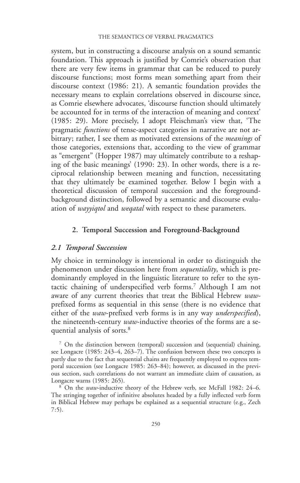system, but in constructing a discourse analysis on a sound semantic foundation. This approach is justified by Comrie's observation that there are very few items in grammar that can be reduced to purely discourse functions; most forms mean something apart from their discourse context (1986: 21). A semantic foundation provides the necessary means to explain correlations observed in discourse since, as Comrie elsewhere advocates, 'discourse function should ultimately be accounted for in terms of the interaction of meaning and context' (1985: 29). More precisely, I adopt Fleischman's view that, 'The pragmatic *functions* of tense-aspect categories in narrative are not arbitrary; rather, I see them as motivated extensions of the *meanings* of those categories, extensions that, according to the view of grammar as "emergent" (Hopper 1987) may ultimately contribute to a reshaping of the basic meanings' (1990: 23). In other words, there is a reciprocal relationship between meaning and function, necessitating that they ultimately be examined together. Below I begin with a theoretical discussion of temporal succession and the foregroundbackground distinction, followed by a semantic and discourse evaluation of *wayyiqtol* and *wegatal* with respect to these parameters.

## 2. Temporal Succession and Foreground-Background

#### 2.1 Temporal Succession

My choice in terminology is intentional in order to distinguish the phenomenon under discussion here from sequentiality, which is predominantly employed in the linguistic literature to refer to the syntactic chaining of underspecified verb forms.7 Although I am not aware of any current theories that treat the Biblical Hebrew wawprefixed forms as sequential in this sense (there is no evidence that either of the waw-prefixed verb forms is in any way underspecified), the nineteenth-century *waw*-inductive theories of the forms are a sequential analysis of sorts.<sup>8</sup>

7 On the distinction between (temporal) succession and (sequential) chaining, see Longacre (1985: 243-4, 263-7). The confusion between these two concepts is partly due to the fact that sequential chains are frequently employed to express temporal succession (see Longacre 1985: 263–84); however, as discussed in the previous section, such correlations do not warrant an immediate claim of causation, as Longacre warns (1985: 265).

<sup>8</sup> On the *waw*-inductive theory of the Hebrew verb, see McFall 1982: 24–6. The stringing together of infinitive absolutes headed by a fully inflected verb form in Biblical Hebrew may perhaps be explained as a sequential structure (e.g., Zech 7:5).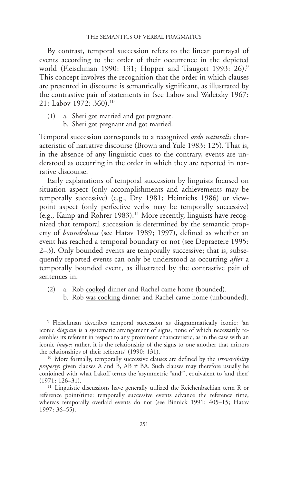By contrast, temporal succession refers to the linear portrayal of events according to the order of their occurrence in the depicted world (Fleischman 1990: 131; Hopper and Traugott 1993: 26).<sup>9</sup> This concept involves the recognition that the order in which clauses are presented in discourse is semantically significant, as illustrated by the contrastive pair of statements in (see Labov and Waletzky 1967: 21; Labov 1972: 360).10

- (1) a. Sheri got married and got pregnant.
	- b. Sheri got pregnant and got married.

Temporal succession corresponds to a recognized ordo naturalis characteristic of narrative discourse (Brown and Yule 1983: 125). That is, in the absence of any linguistic cues to the contrary, events are understood as occurring in the order in which they are reported in narrative discourse.

Early explanations of temporal succession by linguists focused on situation aspect (only accomplishments and achievements may be temporally successive) (e.g., Dry 1981; Heinrichs 1986) or viewpoint aspect (only perfective verbs may be temporally successive) (e.g., Kamp and Rohrer 1983).11 More recently, linguists have recognized that temporal succession is determined by the semantic property of boundedness (see Hatav 1989; 1997), defined as whether an event has reached a temporal boundary or not (see Depraetere 1995: 2–3). Only bounded events are temporally successive; that is, subsequently reported events can only be understood as occurring *after* a temporally bounded event, as illustrated by the contrastive pair of sentences in.

- (2) a. Rob cooked dinner and Rachel came home (bounded).
	- b. Rob was cooking dinner and Rachel came home (unbounded).

9 Fleischman describes temporal succession as diagrammatically iconic: 'an iconic *diagram* is a systematic arrangement of signs, none of which necessarily resembles its referent in respect to any prominent characteristic, as in the case with an iconic image; rather, it is the relationship of the signs to one another that mirrors the relationships of their referents' (1990: 131).

<sup>10</sup> More formally, temporally successive clauses are defined by the *irreversibility property*: given clauses A and B,  $AB \neq BA$ . Such clauses may therefore usually be conjoined with what Lakoff terms the 'asymmetric "and"', equivalent to 'and then' (1971: 126–31).

<sup>11</sup> Linguistic discussions have generally utilized the Reichenbachian term R or reference point/time: temporally successive events advance the reference time, whereas temporally overlaid events do not (see Binnick 1991: 405–15; Hatav 1997: 36–55).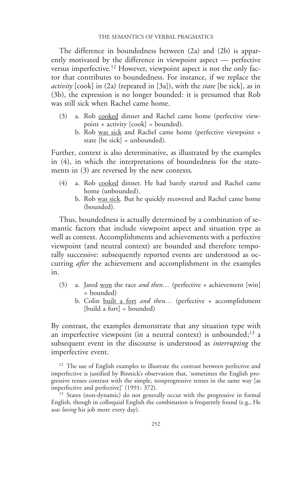The difference in boundedness between (2a) and (2b) is apparently motivated by the difference in viewpoint aspect — perfective versus imperfective.12 However, viewpoint aspect is not the only factor that contributes to boundedness. For instance, if we replace the activity [cook] in (2a) (repeated in [3a]), with the *state* [be sick], as in (3b), the expression is no longer bounded: it is presumed that Rob was still sick when Rachel came home.

- (3) a. Rob cooked dinner and Rachel came home (perfective viewpoint + activity [cook] = bounded).
	- b. Rob was sick and Rachel came home (perfective viewpoint + state [be sick] = unbounded).

Further, context is also determinative, as illustrated by the examples in (4), in which the interpretations of boundedness for the statements in (3) are reversed by the new contexts.

- (4) a. Rob cooked dinner. He had barely started and Rachel came home (unbounded).
	- b. Rob was sick. But he quickly recovered and Rachel came home (bounded).

Thus, boundedness is actually determined by a combination of semantic factors that include viewpoint aspect and situation type as well as context. Accomplishments and achievements with a perfective viewpoint (and neutral context) are bounded and therefore temporally successive: subsequently reported events are understood as occurring *after* the achievement and accomplishment in the examples in.

- (5) a. Jared won the race and then... (perfective + achievement [win] = bounded)
	- b. Colin built a fort and then... (perfective + accomplishment [build a fort] = bounded)

By contrast, the examples demonstrate that any situation type with an imperfective viewpoint (in a neutral context) is unbounded; $13$  a subsequent event in the discourse is understood as *interrupting* the imperfective event.

<sup>12</sup> The use of English examples to illustrate the contrast between perfective and imperfective is justified by Binnick's observation that, 'sometimes the English progressive tenses contrast with the simple, nonprogressive tenses in the same way [as imperfective and perfective]' (1991: 372).

<sup>13</sup> States (non-dynamic) do not generally occur with the progressive in formal English, though in colloquial English the combination is frequently found (e.g., He was loving his job more every day).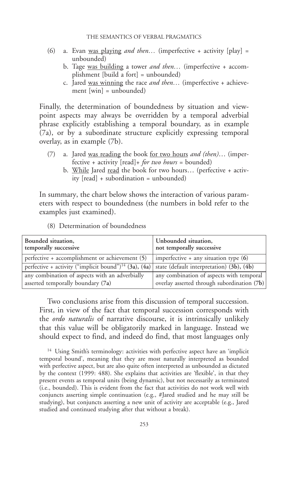- (6) a. Evan was playing *and then*... (imperfective + activity [play] = unbounded)
	- b. Tage was building a tower *and then*... (imperfective + accomplishment [build a fort] = unbounded)
	- c. Jared was winning the race and then... (imperfective + achievement [win] = unbounded)

Finally, the determination of boundedness by situation and viewpoint aspects may always be overridden by a temporal adverbial phrase explicitly establishing a temporal boundary, as in example (7a), or by a subordinate structure explicitly expressing temporal overlay, as in example (7b).

- (7) a. Jared was reading the book for two hours and (then)... (imperfective + activity  $[read] +$  for two hours = bounded)
	- b. While Jared read the book for two hours... (perfective + activity [read] + subordination = unbounded)

In summary, the chart below shows the interaction of various parameters with respect to boundedness (the numbers in bold refer to the examples just examined).

(8) Determination of boundedness

| Bounded situation,<br>temporally successive                       | Unbounded situation,<br>not temporally successive |
|-------------------------------------------------------------------|---------------------------------------------------|
| perfective + accomplishment or achievement (5)                    | imperfective $+$ any situation type $(6)$         |
| perfective + activity ("implicit bound") <sup>14</sup> (3a), (4a) | state (default interpretation) (3b), (4b)         |
| any combination of aspects with an adverbially                    | any combination of aspects with temporal          |
| asserted temporally boundary (7a)                                 | overlay asserted through subordination (7b)       |

Two conclusions arise from this discussion of temporal succession. First, in view of the fact that temporal succession corresponds with the *ordo naturalis* of narrative discourse, it is intrinsically unlikely that this value will be obligatorily marked in language. Instead we should expect to find, and indeed do find, that most languages only

<sup>14</sup> Using Smith's terminology: activities with perfective aspect have an 'implicit temporal bound', meaning that they are most naturally interpreted as bounded with perfective aspect, but are also quite often interpreted as unbounded as dictated by the context (1999: 488). She explains that activities are 'flexible', in that they present events as temporal units (being dynamic), but not necessarily as terminated (i.e., bounded). This is evident from the fact that activities do not work well with conjuncts asserting simple continuation (e.g., #Jared studied and he may still be studying), but conjuncts asserting a new unit of activity are acceptable (e.g., Jared studied and continued studying after that without a break).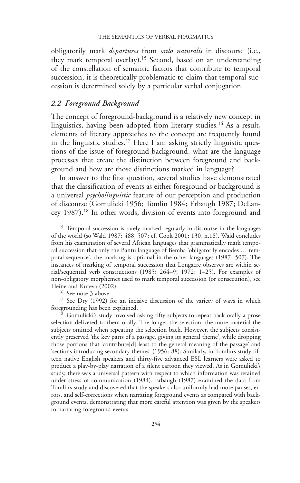obligatorily mark departures from ordo naturalis in discourse (i.e., they mark temporal overlay).15 Second, based on an understanding of the constellation of semantic factors that contribute to temporal succession, it is theoretically problematic to claim that temporal succession is determined solely by a particular verbal conjugation.

# 2.2 Foreground-Background

The concept of foreground-background is a relatively new concept in linguistics, having been adopted from literary studies.<sup>16</sup> As a result, elements of literary approaches to the concept are frequently found in the linguistic studies.<sup>17</sup> Here I am asking strictly linguistic questions of the issue of foreground-background: what are the language processes that create the distinction between foreground and background and how are those distinctions marked in language?

In answer to the first question, several studies have demonstrated that the classification of events as either foreground or background is a universal *psycholinguistic* feature of our perception and production of discourse (Gomulicki 1956; Tomlin 1984; Erbaugh 1987; DeLancey 1987).18 In other words, division of events into foreground and

<sup>15</sup> Temporal succession is rarely marked regularly in discourse in the languages of the world (so Wald 1987: 488, 507; cf. Cook 2001: 130, n.18). Wald concludes from his examination of several African languages that grammatically mark temporal succession that only the Bantu language of Bemba 'obligatorily encodes … temporal sequence'; the marking is optional in the other languages (1987: 507). The instances of marking of temporal succession that Longacre observes are within serial/sequential verb constructions (1985: 264–9; 1972: 1–25). For examples of non-obligatory morphemes used to mark temporal succession (or consecution), see Heine and Kuteva (2002).

16 See note 3 above.

<sup>17</sup> See Dry (1992) for an incisive discussion of the variety of ways in which foregrounding has been explained.

<sup>18</sup> Gomulicki's study involved asking fifty subjects to repeat back orally a prose selection delivered to them orally. The longer the selection, the more material the subjects omitted when repeating the selection back. However, the subjects consistently preserved 'the key parts of a passage, giving its general theme', while dropping those portions that 'contribute[d] least to the general meaning of the passage' and 'sections introducing secondary themes' (1956: 88). Similarly, in Tomlin's study fifteen native English speakers and thirty-five advanced ESL learners were asked to produce a play-by-play narration of a silent cartoon they viewed. As in Gomulicki's study, there was a universal pattern with respect to which information was retained under stress of communication (1984). Erbaugh (1987) examined the data from Tomlin's study and discovered that the speakers also uniformly had more pauses, errors, and self-corrections when narrating foreground events as compared with background events, demonstrating that more careful attention was given by the speakers to narrating foreground events.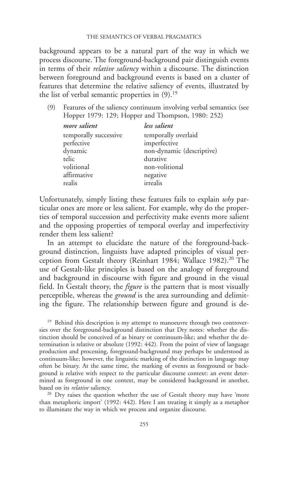background appears to be a natural part of the way in which we process discourse. The foreground-background pair distinguish events in terms of their relative saliency within a discourse. The distinction between foreground and background events is based on a cluster of features that determine the relative saliency of events, illustrated by the list of verbal semantic properties in  $(9)$ .<sup>19</sup>

(9) Features of the saliency continuum involving verbal semantics (see Hopper 1979: 129; Hopper and Thompson, 1980: 252)

| more salient          | less salient              |
|-----------------------|---------------------------|
| temporally successive | temporally overlaid       |
| perfective            | imperfective              |
| dynamic               | non-dynamic (descriptive) |
| telic                 | durative                  |
| volitional            | non-volitional            |
| affirmative           | negative                  |
| realis                | irrealis                  |

Unfortunately, simply listing these features fails to explain why particular ones are more or less salient. For example, why do the properties of temporal succession and perfectivity make events more salient and the opposing properties of temporal overlay and imperfectivity render them less salient?

In an attempt to elucidate the nature of the foreground-background distinction, linguists have adapted principles of visual perception from Gestalt theory (Reinhart 1984; Wallace 1982).<sup>20</sup> The use of Gestalt-like principles is based on the analogy of foreground and background in discourse with figure and ground in the visual field. In Gestalt theory, the *figure* is the pattern that is most visually perceptible, whereas the *ground* is the area surrounding and delimiting the figure. The relationship between figure and ground is de-

<sup>19</sup> Behind this description is my attempt to manoeuvre through two controversies over the foreground-background distinction that Dry notes: whether the distinction should be conceived of as binary or continuum-like; and whether the determination is relative or absolute (1992: 442). From the point of view of language production and processing, foreground-background may perhaps be understood as continuum-like; however, the linguistic marking of the distinction in language may often be binary. At the same time, the marking of events as foreground or background is relative with respect to the particular discourse context: an event determined as foreground in one context, may be considered background in another, based on its *relative* saliency.

<sup>20</sup> Dry raises the question whether the use of Gestalt theory may have 'more than metaphoric import' (1992: 442). Here I am treating it simply as a metaphor to illuminate the way in which we process and organize discourse.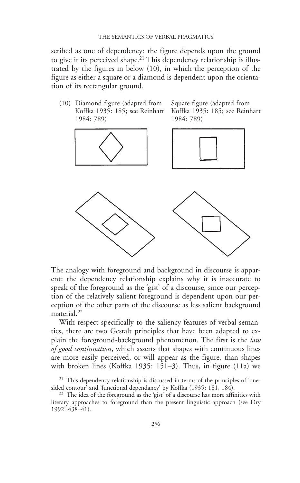scribed as one of dependency: the figure depends upon the ground to give it its perceived shape.<sup>21</sup> This dependency relationship is illustrated by the figures in below (10), in which the perception of the figure as either a square or a diamond is dependent upon the orientation of its rectangular ground.

(10) Diamond figure (adapted from Square figure (adapted from Koffka 1935: 185; see Reinhart Koffka 1935: 185; see Reinhart 1984: 789) 1984: 789)



The analogy with foreground and background in discourse is apparent: the dependency relationship explains why it is inaccurate to speak of the foreground as the 'gist' of a discourse, since our perception of the relatively salient foreground is dependent upon our perception of the other parts of the discourse as less salient background material.<sup>22</sup>

With respect specifically to the saliency features of verbal semantics, there are two Gestalt principles that have been adapted to explain the foreground-background phenomenon. The first is the *law* of good continuation, which asserts that shapes with continuous lines are more easily perceived, or will appear as the figure, than shapes with broken lines (Koffka 1935: 151–3). Thus, in figure (11a) we

 $21$  This dependency relationship is discussed in terms of the principles of 'onesided contour' and 'functional dependancy' by Koffka (1935: 181, 184).

<sup>22</sup> The idea of the foreground as the 'gist' of a discourse has more affinities with literary approaches to foreground than the present linguistic approach (see Dry 1992: 438–41).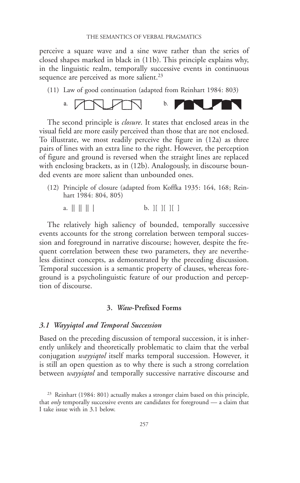perceive a square wave and a sine wave rather than the series of closed shapes marked in black in (11b). This principle explains why, in the linguistic realm, temporally successive events in continuous sequence are perceived as more salient.<sup>23</sup>

(11) Law of good continuation (adapted from Reinhart 1984: 803)



The second principle is *closure*. It states that enclosed areas in the visual field are more easily perceived than those that are not enclosed. To illustrate, we most readily perceive the figure in (12a) as three pairs of lines with an extra line to the right. However, the perception of figure and ground is reversed when the straight lines are replaced with enclosing brackets, as in (12b). Analogously, in discourse bounded events are more salient than unbounded ones.

(12) Principle of closure (adapted from Koffka 1935: 164, 168; Reinhart 1984: 804, 805)

a. 
$$
\parallel \parallel \parallel
$$
 | b.  $\parallel \parallel$  |

The relatively high saliency of bounded, temporally successive events accounts for the strong correlation between temporal succession and foreground in narrative discourse; however, despite the frequent correlation between these two parameters, they are nevertheless distinct concepts, as demonstrated by the preceding discussion. Temporal succession is a semantic property of clauses, whereas foreground is a psycholinguistic feature of our production and perception of discourse.

## 3. Waw-Prefixed Forms

#### 3.1 Wayyiqtol and Temporal Succession

Based on the preceding discussion of temporal succession, it is inherently unlikely and theoretically problematic to claim that the verbal conjugation *wayyiqtol* itself marks temporal succession. However, it is still an open question as to why there is such a strong correlation between *wayyiqtol* and temporally successive narrative discourse and

<sup>&</sup>lt;sup>23</sup> Reinhart (1984: 801) actually makes a stronger claim based on this principle, that *only* temporally successive events are candidates for foreground  $-$  a claim that I take issue with in 3.1 below.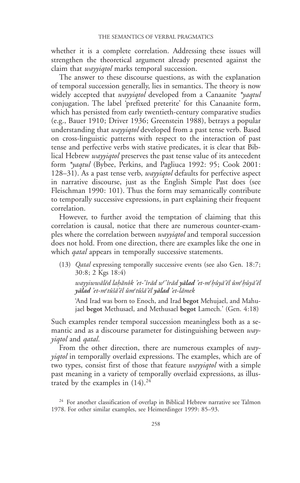whether it is a complete correlation. Addressing these issues will strengthen the theoretical argument already presented against the claim that *wayyiqtol* marks temporal succession.

The answer to these discourse questions, as with the explanation of temporal succession generally, lies in semantics. The theory is now widely accepted that *wayyiqtol* developed from a Canaanite *\*yaqtul* conjugation. The label 'prefixed preterite' for this Canaanite form, which has persisted from early twentieth-century comparative studies (e.g., Bauer 1910; Driver 1936; Greenstein 1988), betrays a popular understanding that *wayyiqtol* developed from a past tense verb. Based on cross-linguistic patterns with respect to the interaction of past tense and perfective verbs with stative predicates, it is clear that Biblical Hebrew wayyiqtol preserves the past tense value of its antecedent form \*yaqtul (Bybee, Perkins, and Pagliuca 1992: 95; Cook 2001: 128–31). As a past tense verb, wayyiqtol defaults for perfective aspect in narrative discourse, just as the English Simple Past does (see Fleischman 1990: 101). Thus the form may semantically contribute to temporally successive expressions, in part explaining their frequent correlation.

However, to further avoid the temptation of claiming that this correlation is causal, notice that there are numerous counter-examples where the correlation between *wayyiqtol* and temporal succession does not hold. From one direction, there are examples like the one in which *qatal* appears in temporally successive statements.

(13) Qatal expressing temporally successive events (see also Gen. 18:7; 30:8; 2 Kgs 18:4)

wayyiwwālēd lahănôk 'et-ʿîrād w<sup>e</sup>ʿîrād **yālad '**et-m<sup>e</sup>hûyā'ēl ûm<sup>e</sup>hûyā'ēl yālad 'et-m<sup>e</sup>tûšā'ēl ûm<sup>e</sup>tûšā'ēl <mark>yālad '</mark>et-lāmek

'And Irad was born to Enoch, and Irad begot Mehujael, and Mahujael begot Methusael, and Methusael begot Lamech.' (Gen. 4:18)

Such examples render temporal succession meaningless both as a semantic and as a discourse parameter for distinguishing between *way*yiqtol and qatal.

From the other direction, there are numerous examples of way*yiqtol* in temporally overlaid expressions. The examples, which are of two types, consist first of those that feature *wayyiqtol* with a simple past meaning in a variety of temporally overlaid expressions, as illustrated by the examples in  $(14).^{24}$ 

<sup>24</sup> For another classification of overlap in Biblical Hebrew narrative see Talmon 1978. For other similar examples, see Heimerdinger 1999: 85–93.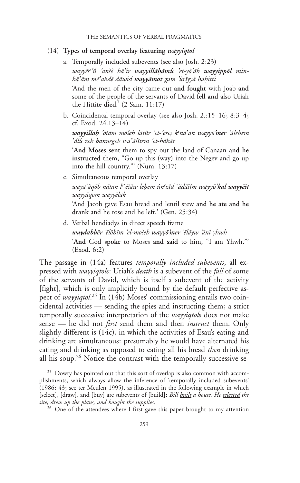#### (14) Types of temporal overlay featuring wayyiqtol

a. Temporally included subevents (see also Josh. 2:23)

wayyēṣ<sup>e</sup>'û 'anšê hā<sup>c</sup>îr **wayyillāḥămû** 'et-yô'āb **wayyippōl** minhāʿām mēʿabdê dāwid wayyāmot gam 'ûrîyyâ haḥittî

'And the men of the city came out and fought with Joab and some of the people of the servants of David fell and also Uriah the Hittite died.' (2 Sam. 11:17)

b. Coincidental temporal overlay (see also Josh. 2.:15–16; 8:3–4; cf. Exod. 24.13–14)

wayyišlaḥ 'ōtām mōšeh lātûr 'et-'ereṣ k<sup>e</sup>nāʿan <mark>wayyō'mer</mark> 'ălēhem {alû zeh bannegeb wa{alitem 'et-hahar

'And Moses sent them to spy out the land of Canaan and he instructed them, "Go up this (way) into the Negev and go up into the hill country."' (Num. 13:17)

c. Simultaneous temporal overlay wayaʿăqōb nātan l<sup>e</sup>ʿēśāw leḥem ûn<sup>e</sup>zîd ʿădāšîm **wayyōʾkal wayyēšt** wayyaqom wayyelak 'And Jacob gave Esau bread and lentil stew and he ate and he

drank and he rose and he left.' (Gen. 25:34)

d. Verbal hendiadys in direct speech frame waydabbēr 'ĕlōhîm 'el-mošeh wayyō'mer 'ēlāyw 'ănî yhwh 'And God spoke to Moses and said to him, "I am Yhwh."' (Exod. 6:2)

The passage in (14a) features *temporally included subevents*, all expressed with *wayyiqtols*: Uriah's *death* is a subevent of the *fall* of some of the servants of David, which is itself a subevent of the activity [fight], which is only implicitly bound by the default perfective aspect of *wayyiqtol*.<sup>25</sup> In (14b) Moses' commissioning entails two coincidental activities — sending the spies and instructing them; a strict temporally successive interpretation of the *wayyiqtols* does not make sense — he did not *first* send them and then *instruct* them. Only slightly different is (14c), in which the activities of Esau's eating and drinking are simultaneous: presumably he would have alternated his eating and drinking as opposed to eating all his bread *then* drinking all his soup.26 Notice the contrast with the temporally successive se-

<sup>&</sup>lt;sup>25</sup> Dowty has pointed out that this sort of overlap is also common with accomplishments, which always allow the inference of 'temporally included subevents' (1986: 43; see ter Meulen 1995), as illustrated in the following example in which [select], [draw], and [buy] are subevents of [build]: *Bill built a house. He selected the* site, drew up the plans, and bought the supplies.

<sup>&</sup>lt;sup>26</sup> One of the attendees where I first gave this paper brought to my attention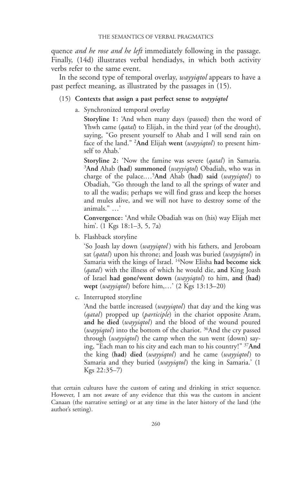quence *and he rose and he left* immediately following in the passage. Finally, (14d) illustrates verbal hendiadys, in which both activity verbs refer to the same event.

In the second type of temporal overlay, wayyiqtol appears to have a past perfect meaning, as illustrated by the passages in (15).

- (15) Contexts that assign a past perfect sense to *wayyiqtol* 
	- a. Synchronized temporal overlay

Storyline 1: 'And when many days (passed) then the word of Yhwh came (*qatal*) to Elijah, in the third year (of the drought), saying, "Go present yourself to Ahab and I will send rain on face of the land." <sup>2</sup>And Elijah went (wayyiqtol) to present himself to Ahab.'

Storyline 2: 'Now the famine was severe (*qatal*) in Samaria. <sup>3</sup>And Ahab (had) summoned (wayyiqtol) Obadiah, who was in charge of the palace....<sup>5</sup>And Ahab (had) said (wayyiqtol) to Obadiah, "Go through the land to all the springs of water and to all the wadis; perhaps we will find grass and keep the horses and mules alive, and we will not have to destroy some of the animals." …'

Convergence: 'And while Obadiah was on (his) way Elijah met him'. (1 Kgs 18:1–3, 5, 7a)

b. Flashback storyline

'So Joash lay down (wayyiqtol) with his fathers, and Jeroboam sat (qatal) upon his throne; and Joash was buried (wayyiqtol) in Samaria with the kings of Israel. <sup>14</sup>Now Elisha had become sick (*qatal*) with the illness of which he would die, and King Joash of Israel had gone/went down (wayyiqtol) to him, and (had) wept (wayyiqtol) before him,...' (2 Kgs 13:13–20)

c. Interrupted storyline

'And the battle increased (wayyiqtol) that day and the king was (qatal) propped up (participle) in the chariot opposite Aram, and he died (wayyiqtol) and the blood of the wound poured (*wayyiqtol*) into the bottom of the chariot. <sup>36</sup>And the cry passed through (*wayyiqtol*) the camp when the sun went (down) saying, "Each man to his city and each man to his country!" 37And the king (had) died (wayyiqtol) and he came (wayyiqtol) to Samaria and they buried (wayyiqtol) the king in Samaria.' (1 Kgs 22:35–7)

that certain cultures have the custom of eating and drinking in strict sequence. However, I am not aware of any evidence that this was the custom in ancient Canaan (the narrative setting) or at any time in the later history of the land (the author's setting).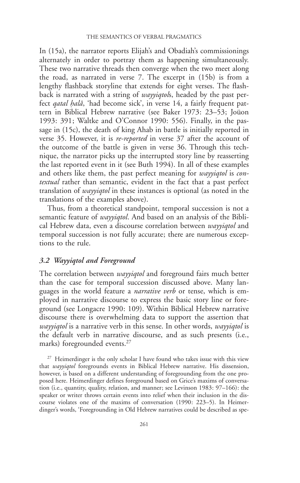In (15a), the narrator reports Elijah's and Obadiah's commissionings alternately in order to portray them as happening simultaneously. These two narrative threads then converge when the two meet along the road, as narrated in verse 7. The excerpt in (15b) is from a lengthy flashback storyline that extends for eight verses. The flashback is narrated with a string of *wayyiqtols*, headed by the past perfect *qatal halâ*, 'had become sick', in verse 14, a fairly frequent pattern in Biblical Hebrew narrative (see Baker 1973: 23–53; Joüon 1993: 391; Waltke and O'Connor 1990: 556). Finally, in the passage in (15c), the death of king Ahab in battle is initially reported in verse 35. However, it is re-reported in verse 37 after the account of the outcome of the battle is given in verse 36. Through this technique, the narrator picks up the interrupted story line by reasserting the last reported event in it (see Buth 1994). In all of these examples and others like them, the past perfect meaning for *wayyiqtol* is *con*textual rather than semantic, evident in the fact that a past perfect translation of *wayyiqtol* in these instances is optional (as noted in the translations of the examples above).

Thus, from a theoretical standpoint, temporal succession is not a semantic feature of *wayyiqtol*. And based on an analysis of the Biblical Hebrew data, even a discourse correlation between *wayyiqtol* and temporal succession is not fully accurate; there are numerous exceptions to the rule.

## 3.2 Wayyiqtol and Foreground

The correlation between *wayyiqtol* and foreground fairs much better than the case for temporal succession discussed above. Many languages in the world feature a *narrative verb* or tense, which is employed in narrative discourse to express the basic story line or foreground (see Longacre 1990: 109). Within Biblical Hebrew narrative discourse there is overwhelming data to support the assertion that wayyiqtol is a narrative verb in this sense. In other words, wayyiqtol is the default verb in narrative discourse, and as such presents (i.e., marks) foregrounded events.27

<sup>27</sup> Heimerdinger is the only scholar I have found who takes issue with this view that *wayyiqtol* foregrounds events in Biblical Hebrew narrative. His dissension, however, is based on a different understanding of foregrounding from the one proposed here. Heimerdinger defines foreground based on Grice's maxims of conversation (i.e., quantity, quality, relation, and manner; see Levinson 1983: 97–166): the speaker or writer throws certain events into relief when their inclusion in the discourse violates one of the maxims of conversation (1990: 223–5). In Heimerdinger's words, 'Foregrounding in Old Hebrew narratives could be described as spe-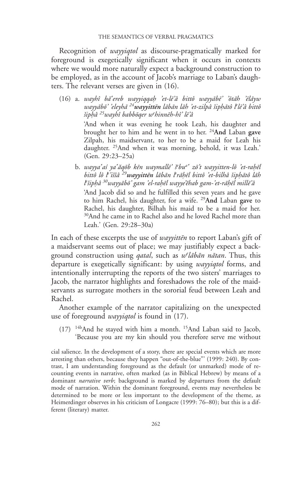Recognition of *wayyiqtol* as discourse-pragmatically marked for foreground is exegetically significant when it occurs in contexts where we would more naturally expect a background construction to be employed, as in the account of Jacob's marriage to Laban's daughters. The relevant verses are given in (16).

(16) a. wayhî ba $\epsilon$ ereb wayyiqqah 'et-le'â bittô wayyabe' 'otah 'elayw wayyābō' 'eleyhā <sup>24</sup>**wayyittēn** lābān lāh 'et-zilpâ šipḥātô l<sup>e</sup>lē'â bittô šiphâ <sup>25</sup>wayhî babbōqer w<sup>e</sup>hinnēh-hî' lē'â

> 'And when it was evening he took Leah, his daughter and brought her to him and he went in to her. 24And Laban gave Zilpah, his maidservant, to her to be a maid for Leah his daughter. 25And when it was morning, behold, it was Leah.' (Gen. 29:23–25a)

b. wayyaʿaś yaʿăqōb kēn waymallē' š<sup>e</sup>bu<sup>a</sup>ʿ zō't wayyitten-lô 'et-raḥēl bittô lô l<sup>e</sup>'iššâ <sup>29</sup>wayyittēn lābān l<sup>e</sup>rāḥēl bittô 'et-bilhâ šipḥātô lāh l`šiphâ <sup>30</sup>wayyābō' gam 'el-raḥēl wayye'ĕhab gam-'et-rāḥēl millē'â 'And Jacob did so and he fulfilled this seven years and he gave to him Rachel, his daughter, for a wife. 29And Laban gave to Rachel, his daughter, Bilhah his maid to be a maid for her. 30And he came in to Rachel also and he loved Rachel more than Leah.' (Gen. 29:28–30a)

In each of these excerpts the use of wayyitten to report Laban's gift of a maidservant seems out of place; we may justifiably expect a background construction using *qatal*, such as *w<sup>e</sup>lābān nātan*. Thus, this departure is exegetically significant: by using *wayyiqtol* forms, and intentionally interrupting the reports of the two sisters' marriages to Jacob, the narrator highlights and foreshadows the role of the maidservants as surrogate mothers in the sororial feud between Leah and Rachel.

Another example of the narrator capitalizing on the unexpected use of foreground *wayyiqtol* is found in (17).

(17) 14bAnd he stayed with him a month. 15And Laban said to Jacob, 'Because you are my kin should you therefore serve me without

cial salience. In the development of a story, there are special events which are more arresting than others, because they happen "out-of-the-blue"' (1999: 240). By contrast, I am understanding foreground as the default (or unmarked) mode of recounting events in narrative, often marked (as in Biblical Hebrew) by means of a dominant *narrative verb*; background is marked by departures from the default mode of narration. Within the dominant foreground, events may nevertheless be determined to be more or less important to the development of the theme, as Heimerdinger observes in his criticism of Longacre (1999: 76–80); but this is a different (literary) matter.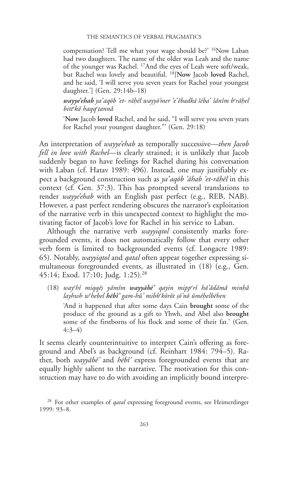compensation? Tell me what your wage should be?' <sup>16</sup>Now Laban had two daughters. The name of the older was Leah and the name of the younger was Rachel. 17And the eyes of Leah were soft/weak, but Rachel was lovely and beautiful. 18[Now Jacob loved Rachel, and he said, 'I will serve you seven years for Rachel your youngest daughter.'] (Gen. 29:14b–18)

**wayye'ehab** yaʿaqōb 'et- rāḥēl wayyō'mer 'eʿĕbadkā šébaʿ šānîm b<sup>e</sup>rāḥel bitt<sup>e</sup>kā haqq<sup>e</sup>ṭannâ

'Now Jacob loved Rachel, and he said, "I will serve you seven years for Rachel your youngest daughter."' (Gen. 29:18)

An interpretation of *wayye'ehab* as temporally successive—then *Jacob* fell in love with Rachel—is clearly strained; it is unlikely that Jacob suddenly began to have feelings for Rachel during his conversation with Laban (cf. Hatav 1989: 496). Instead, one may justifiably expect a background construction such as  $ya^2aq\bar{b}b^2\bar{a}hab^2et-r\bar{a}h\bar{e}l$  in this context (cf. Gen. 37:3). This has prompted several translations to render wayye'ehab with an English past perfect (e.g., REB, NAB). However, a past perfect rendering obscures the narrator's exploitation of the narrative verb in this unexpected context to highlight the motivating factor of Jacob's love for Rachel in his service to Laban.

Although the narrative verb *wayyiqtol* consistently marks foregrounded events, it does not automatically follow that every other verb form is limited to backgrounded events (cf. Longacre 1989: 65). Notably, wayyiqtol and qatal often appear together expressing simultaneous foregrounded events, as illustrated in (18) (e.g., Gen. 45:14; Exod. 17:10; Judg. 1:25).28

(18) way<sup>e</sup>hî miqqēs yāmîm wayyābē' qayin mipp<sup>e</sup>rî hā'ădāmâ minhâ layhwh w<sup>e</sup>hebel **hēbî'** gam-hû' mibb<sup>e</sup>kōrôt ṣō'nô ûmēḥelbēhen 'And it happened that after some days Cain brought some of the produce of the ground as a gift to Yhwh, and Abel also brought some of the firstborns of his flock and some of their fat.' (Gen. 4:3–4)

It seems clearly counterintuitive to interpret Cain's offering as foreground and Abel's as background (cf. Reinhart 1984: 794–5). Rather, both wayyabe' and hebî' express foregrounded events that are equally highly salient to the narrative. The motivation for this construction may have to do with avoiding an implicitly bound interpre-

<sup>&</sup>lt;sup>28</sup> For other examples of *qatal* expressing foreground events, see Heimerdinger 1999: 93–8.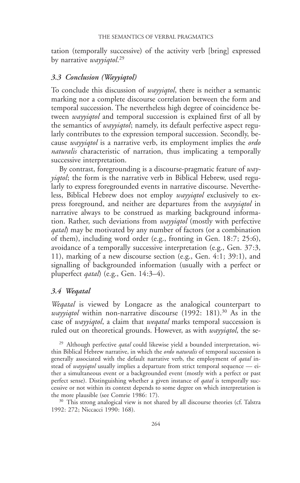tation (temporally successive) of the activity verb [bring] expressed by narrative wayyiqtol.<sup>29</sup>

## 3.3 Conclusion (Wayyiqtol)

To conclude this discussion of *wayyiqtol*, there is neither a semantic marking nor a complete discourse correlation between the form and temporal succession. The nevertheless high degree of coincidence between *wayyiqtol* and temporal succession is explained first of all by the semantics of *wayyiqtol*; namely, its default perfective aspect regularly contributes to the expression temporal succession. Secondly, because *wayyiqtol* is a narrative verb, its employment implies the *ordo naturalis* characteristic of narration, thus implicating a temporally successive interpretation.

By contrast, foregrounding is a discourse-pragmatic feature of way*yiqtol*; the form is the narrative verb in Biblical Hebrew, used regularly to express foregrounded events in narrative discourse. Nevertheless, Biblical Hebrew does not employ *wayyiqtol* exclusively to express foreground, and neither are departures from the *wayyiqtol* in narrative always to be construed as marking background information. Rather, such deviations from *wayyiqtol* (mostly with perfective *qatal*) may be motivated by any number of factors (or a combination of them), including word order (e.g., fronting in Gen. 18:7; 25:6), avoidance of a temporally successive interpretation (e.g., Gen. 37:3, 11), marking of a new discourse section (e.g., Gen. 4:1; 39:1), and signalling of backgrounded information (usually with a perfect or pluperfect *qatal*) (e.g., Gen.  $14:3-4$ ).

## 3.4 Weqatal

Wegatal is viewed by Longacre as the analogical counterpart to *wayyiqtol* within non-narrative discourse  $(1992: 181).^{30}$  As in the case of *wayyiqtol*, a claim that *wegatal* marks temporal succession is ruled out on theoretical grounds. However, as with *wayyiqtol*, the se-

<sup>29</sup> Although perfective *qatal* could likewise yield a bounded interpretation, within Biblical Hebrew narrative, in which the ordo naturalis of temporal succession is generally associated with the default narrative verb, the employment of *qatal* instead of *wayyiqtol* usually implies a departure from strict temporal sequence — either a simultaneous event or a backgrounded event (mostly with a perfect or past perfect sense). Distinguishing whether a given instance of *qatal* is temporally successive or not within its context depends to some degree on which interpretation is the more plausible (see Comrie 1986: 17).

<sup>30</sup> This strong analogical view is not shared by all discourse theories (cf. Talstra 1992: 272; Niccacci 1990: 168).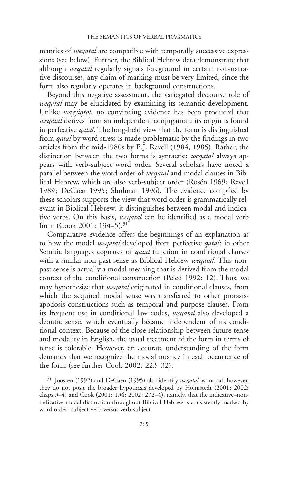mantics of *wegatal* are compatible with temporally successive expressions (see below). Further, the Biblical Hebrew data demonstrate that although weqatal regularly signals foreground in certain non-narrative discourses, any claim of marking must be very limited, since the form also regularly operates in background constructions.

Beyond this negative assessment, the variegated discourse role of wegatal may be elucidated by examining its semantic development. Unlike *wayyiqtol*, no convincing evidence has been produced that *wegatal* derives from an independent conjugation; its origin is found in perfective *qatal*. The long-held view that the form is distinguished from *gatal* by word stress is made problematic by the findings in two articles from the mid-1980s by E.J. Revell (1984, 1985). Rather, the distinction between the two forms is syntactic: *wegatal* always appears with verb-subject word order. Several scholars have noted a parallel between the word order of *weqatal* and modal clauses in Biblical Hebrew, which are also verb-subject order (Rosén 1969; Revell 1989; DeCaen 1995; Shulman 1996). The evidence compiled by these scholars supports the view that word order is grammatically relevant in Biblical Hebrew: it distinguishes between modal and indicative verbs. On this basis, *wegatal* can be identified as a modal verb form (Cook 2001: 134–5).31

Comparative evidence offers the beginnings of an explanation as to how the modal *wegatal* developed from perfective *qatal*: in other Semitic languages cognates of *qatal* function in conditional clauses with a similar non-past sense as Biblical Hebrew *weqatal*. This nonpast sense is actually a modal meaning that is derived from the modal context of the conditional construction (Peled 1992: 12). Thus, we may hypothesize that *wegatal* originated in conditional clauses, from which the acquired modal sense was transferred to other protasisapodosis constructions such as temporal and purpose clauses. From its frequent use in conditional law codes, weqatal also developed a deontic sense, which eventually became independent of its conditional context. Because of the close relationship between future tense and modality in English, the usual treatment of the form in terms of tense is tolerable. However, an accurate understanding of the form demands that we recognize the modal nuance in each occurrence of the form (see further Cook 2002: 223–32).

 $31$  Joosten (1992) and DeCaen (1995) also identify wegatal as modal; however, they do not posit the broader hypothesis developed by Holmstedt (2001; 2002: chaps 3–4) and Cook (2001: 134; 2002: 272–4), namely, that the indicative–nonindicative modal distinction throughout Biblical Hebrew is consistently marked by word order: subject-verb versus verb-subject.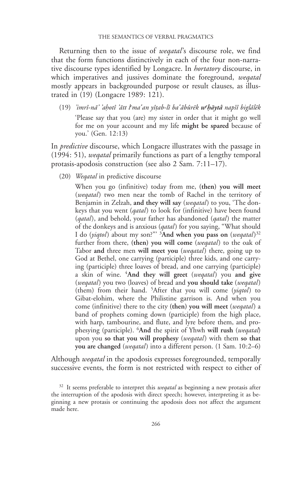Returning then to the issue of *wegatal*'s discourse role, we find that the form functions distinctively in each of the four non-narrative discourse types identified by Longacre. In *hortatory* discourse, in which imperatives and jussives dominate the foreground, wegatal mostly appears in backgrounded purpose or result clauses, as illustrated in (19) (Longacre 1989: 121).

(19) 'imrî-nā' 'ahotî 'ātt l'ma'an yîṭab-lî ba'ăbûrēk w'bāytâ napšî biglālēk 'Please say that you (are) my sister in order that it might go well for me on your account and my life might be spared because of you.' (Gen. 12:13)

In *predictive* discourse, which Longacre illustrates with the passage in (1994: 51), weqatal primarily functions as part of a lengthy temporal protasis-apodosis construction (see also 2 Sam. 7:11–17).

(20) Weqatal in predictive discourse

When you go (infinitive) today from me, (then) you will meet (wegatal) two men near the tomb of Rachel in the territory of Benjamin in Zelzah, and they will say (wegatal) to you, 'The donkeys that you went (*qatal*) to look for (infinitive) have been found (qatal), and behold, your father has abandoned (qatal) the matter of the donkeys and is anxious (*qatal*) for you saying, "What should I do (yiqtol) about my son?"' <sup>3</sup>And when you pass on (weqatal)<sup>32</sup> further from there, (then) you will come (wegatal) to the oak of Tabor and three men will meet you (wegatal) there, going up to God at Bethel, one carrying (participle) three kids, and one carrying (participle) three loaves of bread, and one carrying (participle) a skin of wine.  $4$ And they will greet (wegatal) you and give (wegatal) you two (loaves) of bread and you should take (wegatal) (them) from their hand. 5After that you will come (yiqtol) to Gibat-elohim, where the Philistine garrison is. And when you come (infinitive) there to the city (then) you will meet (wegatal) a band of prophets coming down (participle) from the high place, with harp, tambourine, and flute, and lyre before them, and prophesying (participle). <sup>6</sup>And the spirit of Yhwh will rush (weqatal) upon you so that you will prophesy (wegatal) with them so that you are changed (wegatal) into a different person. (1 Sam. 10:2–6)

Although *wegatal* in the apodosis expresses foregrounded, temporally successive events, the form is not restricted with respect to either of

 $32$  It seems preferable to interpret this *wegatal* as beginning a new protasis after the interruption of the apodosis with direct speech; however, interpreting it as beginning a new protasis or continuing the apodosis does not affect the argument made here.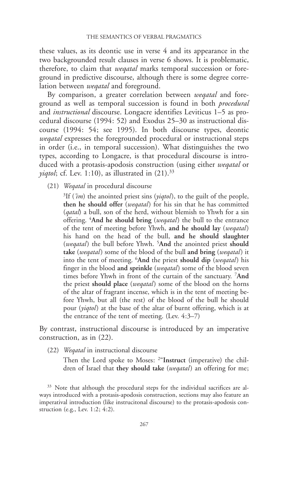these values, as its deontic use in verse 4 and its appearance in the two backgrounded result clauses in verse 6 shows. It is problematic, therefore, to claim that *wegatal* marks temporal succession or foreground in predictive discourse, although there is some degree correlation between *wegatal* and foreground.

By comparison, a greater correlation between weqatal and foreground as well as temporal succession is found in both procedural and instructional discourse. Longacre identifies Leviticus 1–5 as procedural discourse (1994: 52) and Exodus 25–30 as instructional discourse (1994: 54; see 1995). In both discourse types, deontic wegatal expresses the foregrounded procedural or instructional steps in order (i.e., in temporal succession). What distinguishes the two types, according to Longacre, is that procedural discourse is introduced with a protasis-apodosis construction (using either wegatal or *yiqtol*; cf. Lev. 1:10), as illustrated in  $(21).^{33}$ 

(21) Wegatal in procedural discourse

<sup>3</sup>If ('*im*) the anointed priest sins (*yiqtol*), to the guilt of the people, then he should offer (wegatal) for his sin that he has committed (*qatal*) a bull, son of the herd, without blemish to Yhwh for a sin offering. <sup>4</sup>And he should bring (*weqatal*) the bull to the entrance of the tent of meeting before Yhwh, and he should lay (weqatal) his hand on the head of the bull, and he should slaughter (weqatal) the bull before Yhwh. <sup>5</sup>And the anointed priest should take (wegatal) some of the blood of the bull and bring (wegatal) it into the tent of meeting. <sup>6</sup>And the priest should dip (weqatal) his finger in the blood and sprinkle (wegatal) some of the blood seven times before Yhwh in front of the curtain of the sanctuary. <sup>7</sup>And the priest should place (wegatal) some of the blood on the horns of the altar of fragrant incense, which is in the tent of meeting before Yhwh, but all (the rest) of the blood of the bull he should pour (*yiqtol*) at the base of the altar of burnt offering, which is at the entrance of the tent of meeting. (Lev. 4:3–7)

By contrast, instructional discourse is introduced by an imperative construction, as in (22).

(22) Weqatal in instructional discourse

Then the Lord spoke to Moses: <sup>2"</sup>Instruct (imperative) the children of Israel that they should take (*wegatal*) an offering for me;

<sup>33</sup> Note that although the procedural steps for the individual sacrifices are always introduced with a protasis-apodosis construction, sections may also feature an imperatival introduction (like instrucitonal discourse) to the protasis-apodosis construction (e.g., Lev. 1:2; 4:2).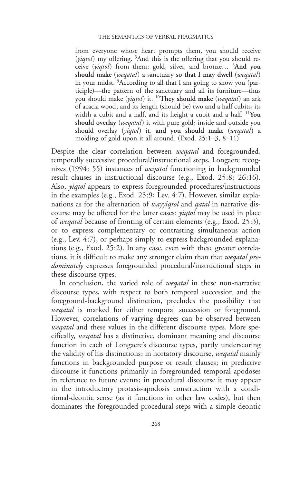from everyone whose heart prompts them, you should receive (yiqtol) my offering. <sup>3</sup>And this is the offering that you should receive (yiqtol) from them: gold, silver, and bronze... <sup>8</sup>And you should make (wegatal) a sanctuary so that I may dwell (wegatal) in your midst. 9 According to all that I am going to show you (participle)—the pattern of the sanctuary and all its furniture—thus you should make (*yiqtol*) it. <sup>10</sup>They should make (*weqatal*) an ark of acacia wood; and its length (should be) two and a half cubits, its width a cubit and a half, and its height a cubit and a half. <sup>11</sup>You should overlay (wegatal) it with pure gold; inside and outside you should overlay (yiqtol) it, and you should make (wegatal) a molding of gold upon it all around. (Exod. 25:1–3, 8–11)

Despite the clear correlation between *wegatal* and foregrounded, temporally successive procedural/instructional steps, Longacre recognizes (1994: 55) instances of *weqatal* functioning in backgrounded result clauses in instructional discourse (e.g., Exod. 25:8; 26:16). Also, *yiqtol* appears to express foregrounded procedures/instructions in the examples (e.g., Exod. 25:9; Lev. 4:7). However, similar explanations as for the alternation of *wayyiqtol* and *qatal* in narrative discourse may be offered for the latter cases: *yiqtol* may be used in place of weqatal because of fronting of certain elements (e.g., Exod. 25:3), or to express complementary or contrasting simultaneous action (e.g., Lev. 4:7), or perhaps simply to express backgrounded explanations (e.g., Exod. 25:2). In any case, even with these greater correlations, it is difficult to make any stronger claim than that weqatal predominately expresses foregrounded procedural/instructional steps in these discourse types.

In conclusion, the varied role of *wegatal* in these non-narrative discourse types, with respect to both temporal succession and the foreground-background distinction, precludes the possibility that weqatal is marked for either temporal succession or foreground. However, correlations of varying degrees can be observed between wegatal and these values in the different discourse types. More specifically, weqatal has a distinctive, dominant meaning and discourse function in each of Longacre's discourse types, partly underscoring the validity of his distinctions: in hortatory discourse, wegatal mainly functions in backgrounded purpose or result clauses; in predictive discourse it functions primarily in foregrounded temporal apodoses in reference to future events; in procedural discourse it may appear in the introductory protasis-apodosis construction with a conditional-deontic sense (as it functions in other law codes), but then dominates the foregrounded procedural steps with a simple deontic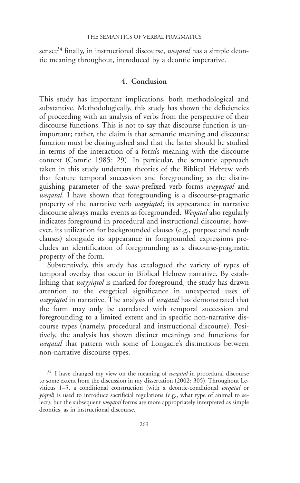sense; $34$  finally, in instructional discourse, *wegatal* has a simple deontic meaning throughout, introduced by a deontic imperative.

## 4. Conclusion

This study has important implications, both methodological and substantive. Methodologically, this study has shown the deficiencies of proceeding with an analysis of verbs from the perspective of their discourse functions. This is not to say that discourse function is unimportant; rather, the claim is that semantic meaning and discourse function must be distinguished and that the latter should be studied in terms of the interaction of a form's meaning with the discourse context (Comrie 1985: 29). In particular, the semantic approach taken in this study undercuts theories of the Biblical Hebrew verb that feature temporal succession and foregrounding as the distinguishing parameter of the waw-prefixed verb forms wayyiqtol and *wegatal*. I have shown that foregrounding is a discourse-pragmatic property of the narrative verb *wayyiqtol*; its appearance in narrative discourse always marks events as foregrounded. Wegatal also regularly indicates foreground in procedural and instructional discourse; however, its utilization for backgrounded clauses (e.g., purpose and result clauses) alongside its appearance in foregrounded expressions precludes an identification of foregrounding as a discourse-pragmatic property of the form.

Substantively, this study has catalogued the variety of types of temporal overlay that occur in Biblical Hebrew narrative. By establishing that *wayyiqtol* is marked for foreground, the study has drawn attention to the exegetical significance in unexpected uses of wayyiqtol in narrative. The analysis of wegatal has demonstrated that the form may only be correlated with temporal succession and foregrounding to a limited extent and in specific non-narrative discourse types (namely, procedural and instructional discourse). Positively, the analysis has shown distinct meanings and functions for wegatal that pattern with some of Longacre's distinctions between non-narrative discourse types.

 $34$  I have changed my view on the meaning of *wegatal* in procedural discourse to some extent from the discussion in my dissertation (2002: 305). Throughout Leviticus 1–5, a conditional construction (with a deontic-conditional weqatal or *yiqtol*) is used to introduce sacrificial regulations (e.g., what type of animal to select), but the subsequent weqatal forms are more appropriately interpreted as simple deontics, as in instructional discourse.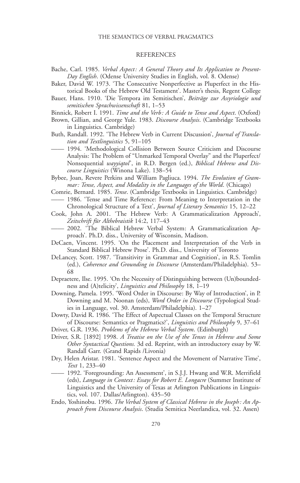#### REFERENCES

- Bache, Carl. 1985. Verbal Aspect: A General Theory and Its Application to Present-Day English. (Odense University Studies in English, vol. 8. Odense)
- Baker, David W. 1973. 'The Consecutive Nonperfective as Pluperfect in the Historical Books of the Hebrew Old Testament'. Master's thesis, Regent College
- Bauer, Hans. 1910. 'Die Tempora im Semitischen', Beiträge zur Assyriologie und semitischen Sprachwissenschaft 81, 1–53
- Binnick, Robert I. 1991. Time and the Verb: A Guide to Tense and Aspect. (Oxford)
- Brown, Gillian, and George Yule. 1983. Discourse Analysis. (Cambridge Textbooks in Linguistics. Cambridge)
- Buth, Randall. 1992. 'The Hebrew Verb in Current Discussion', Journal of Translation and Textlinguistics 5, 91–105
	- —— 1994. 'Methodological Collision Between Source Criticism and Discourse Analysis: The Problem of "Unmarked Temporal Overlay" and the Pluperfect/ Nonsequential wayyiqtol', in R.D. Bergen (ed.), Biblical Hebrew and Discourse Linguistics (Winona Lake). 138–54
- Bybee, Joan, Revere Perkins and William Pagliuca. 1994. The Evolution of Grammar: Tense, Aspect, and Modality in the Languages of the World. (Chicago)
- Comrie, Bernard. 1985. Tense. (Cambridge Textbooks in Linguistics. Cambridge) —— 1986. 'Tense and Time Reference: From Meaning to Interpretation in the Chronological Structure of a Text', Journal of Literary Semantics 15, 12–22
- Cook, John A. 2001. 'The Hebrew Verb: A Grammaticalization Approach', Zeitschrift für Althebraistik 14:2, 117–43
- 2002. 'The Biblical Hebrew Verbal System: A Grammaticalization Approach'. Ph.D. diss., University of Wisconsin, Madison.
- DeCaen, Vincent. 1995. 'On the Placement and Interpretation of the Verb in Standard Biblical Hebrew Prose'. Ph.D. diss., University of Toronto
- DeLancey, Scott. 1987. 'Transitivity in Grammar and Cognition', in R.S. Tomlin (ed.), Coherence and Grounding in Discourse (Amsterdam/Philadelphia). 53– 68
- Depraetere, Ilse. 1995. 'On the Necessity of Distinguishing between (Un)boundedness and (A)telicity', *Linguistics and Philosophy* 18, 1–19
- Downing, Pamela. 1995. 'Word Order in Discourse: By Way of Introduction', in P. Downing and M. Noonan (eds), Word Order in Discourse (Typological Studies in Language, vol. 30. Amsterdam/Philadelphia). 1–27
- Dowty, David R. 1986. 'The Effect of Aspectual Classes on the Temporal Structure of Discourse: Semantics or Pragmatics?', Linguistics and Philosophy 9, 37–61
- Driver, G.R. 1936. Problems of the Hebrew Verbal System. (Edinburgh)
- Driver, S.R. [1892] 1998. A Treatise on the Use of the Tenses in Hebrew and Some Other Syntactical Questions. 3d ed. Reprint, with an introductory essay by W. Randall Garr. (Grand Rapids /Livonia)
- Dry, Helen Aristar. 1981. 'Sentence Aspect and the Movement of Narrative Time', Text 1, 233–40
- 1992. 'Foregrounding: An Assessment', in S.J.J. Hwang and W.R. Merrifield (eds), Language in Context: Essays for Robert E. Longacre (Summer Institute of Linguistics and the University of Texas at Arlington Publications in Linguistics, vol. 107. Dallas/Arlington). 435–50
- Endo, Yoshinobu. 1996. The Verbal System of Classical Hebrew in the Joseph: An Approach from Discourse Analysis. (Studia Semitica Neerlandica, vol. 32. Assen)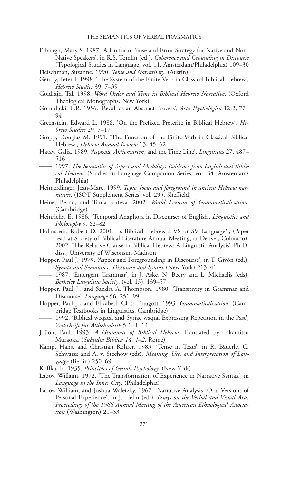- Erbaugh, Mary S. 1987. 'A Uniform Pause and Error Strategy for Native and Non-Native Speakers', in R.S. Tomlin (ed.), Coherence and Grounding in Discourse (Typological Studies in Language, vol. 11. Amsterdam/Philadelphia) 109–30 Fleischman, Suzanne. 1990. Tense and Narrativity. (Austin)
- Gentry, Peter J. 1998. 'The System of the Finite Verb in Classical Biblical Hebrew', Hebrew Studies 39, 7–39
- Goldfajn, Tal. 1998. Word Order and Time in Biblical Hebrew Narrative. (Oxford Theological Monographs. New York)
- Gomulicki, B.R. 1956. 'Recall as an Abstract Process', Acta Psychologica 12:2, 77– 94
- Greenstein, Edward L. 1988. 'On the Prefixed Preterite in Biblical Hebrew', Hebrew Studies 29, 7–17
- Gropp, Douglas M. 1991. 'The Function of the Finite Verb in Classical Biblical Hebrew', Hebrew Annual Review 13, 45–62
- Hatav, Galia. 1989. 'Aspects, Aktionsarten, and the Time Line', Linguistics 27, 487-516
- —— 1997. The Semantics of Aspect and Modality: Evidence from English and Biblical Hebrew. (Studies in Language Companion Series, vol. 34. Amsterdam/ Philadelphia)
- Heimerdinger, Jean-Marc. 1999. Topic, focus and foreground in ancient Hebrew narratives. (JSOT Supplement Series, vol. 295. Sheffield)
- Heine, Bernd, and Tania Kuteva. 2002. World Lexicon of Grammaticalization. (Cambridge)
- Heinrichs, E. 1986. 'Temporal Anaphora in Discourses of English', Linguistics and Philosophy 9, 62–82
- Holmstedt, Robert D. 2001. 'Is Biblical Hebrew a VS or SV Language?', (Paper read at Society of Biblical Literature Annual Meeting, at Denver, Colorado)
- —— 2002. 'The Relative Clause in Biblical Hebrew: A Linguistic Analysis'. Ph.D. diss., University of Wisconsin, Madison
- Hopper, Paul J. 1979. 'Aspect and Foregrounding in Discourse', in T. Givón (ed.), Syntax and Semantics: Discourse and Syntax (New York) 213–41
- —— 1987. 'Emergent Grammar', in J. Aske, N. Beery and L. Michaelis (eds), Berkeley Linguistic Society, (vol. 13). 139–57
- Hopper, Paul J., and Sandra A. Thompson. 1980. 'Transitivity in Grammar and Discourse', Language 56, 251–99
- Hopper, Paul J., and Elizabeth Closs Traugott. 1993. Grammaticalization. (Cambridge Textbooks in Linguistics. Cambridge)
- 1992. 'Biblical weqatal and Syriac waqtal Expressing Repetition in the Past', Zeitschrift für Althebraistik 5:1, 1–14
- Joüon, Paul. 1993. A Grammar of Biblical Hebrew. Translated by Takamitsu Muraoka. (Subsidia Biblica 14, 1–2. Rome)
- Kamp, Hans, and Christian Rohrer. 1983. 'Tense in Texts', in R. Bäuerle, C. Schwarze and A. v. Stechow (eds), Meaning, Use, and Interpretation of Language (Berlin) 250–69
- Koffka, K. 1935. Principles of Gestalt Psychology. (New York)
- Labov, Willaim. 1972. 'The Transformation of Experience in Narrative Syntax', in Language in the Inner City. (Philadelphia)
- Labov, William, and Joshua Waletzky. 1967. 'Narrative Analysis: Oral Versions of Personal Experience', in J. Helm (ed.), Essays on the Verbal and Visual Arts, Proceedings of the 1966 Annual Meeting of the American Ethnological Association (Washington) 21-33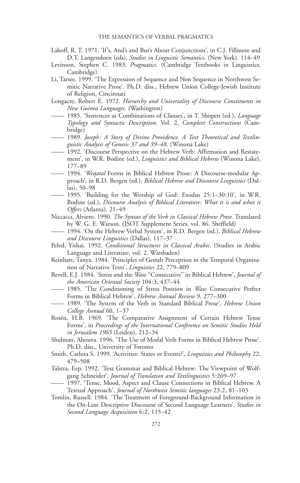- Lakoff, R. T. 1971. 'If's, And's and But's About Conjunctions', in C.J. Fillmore and D.T. Langendoen (eds), Studies in Linguistic Semantics. (New York). 114–49
- Levinson, Stephen C. 1983. Pragmatics. (Cambridge Textbooks in Linguistics. Cambridge)
- Li, Tarsee. 1999. 'The Expression of Sequence and Non Sequence in Northwest Semitic Narrative Prose'. Ph.D. diss., Hebrew Union College-Jewish Institute of Religion, Cincinnati
- Longacre, Robert E. 1972. Hierarchy and Universality of Discourse Constituents in New Guinea Languages. (Washington)
- 1985. 'Sentences as Combinations of Clauses', in T. Shopen (ed.), Language Typology and Syntactic Description. Vol. 2, Complext Constructions (Cambridge)
- —— 1989. Joseph: A Story of Divine Providence. A Text Theoretical and Textlinguistic Analysis of Genesis 37 and 39–48. (Winona Lake)
- —— 1992. 'Discourse Perspective on the Hebrew Verb: Affirmation and Restatement', in W.R. Bodine (ed.), *Linguistics and Biblical Hebrew* (Winona Lake), 177–89
- 1994. 'Wegatal Forms in Biblical Hebrew Prose: A Discourse-modular Approach', in R.D. Bergen (ed.), Biblical Hebrew and Discourse Linguistics (Dallas), 50–98
- —— 1995. 'Building for the Worship of God: Exodus 25:1–30:10', in W.R. Bodine (ed.), Discourse Analysis of Biblical Literature: What it is and what it Offers (Atlanta), 21–49
- Niccacci, Alviero. 1990. The Syntax of the Verb in Classical Hebrew Prose. Translated by W. G. E. Watson. (JSOT Supplement Series, vol. 86. Sheffield)
- 1994. 'On the Hebrew Verbal System', in R.D. Bergen (ed.), Biblical Hebrew and Discourse Linguistics (Dallas), 117–37
- Peled, Yishai. 1992. Conditional Structures in Classical Arabic. (Studies in Arabic Language and Literature, vol. 2. Wiesbaden)
- Reinhart, Tanya. 1984. 'Principles of Gestalt Perception in the Temporal Organization of Narrative Texts', Linguistics 22, 779–809
- Revell, E.J. 1984. 'Stress and the Waw "Consecutive" in Biblical Hebrew', Journal of the American Oriental Society 104:3, 437–44
- **——** 1985. 'The Conditioning of Stress Position in Waw Consecutive Perfect Forms in Biblical Hebrew', Hebrew Annual Review 9, 277–300
- 1989. 'The System of the Verb in Standard Biblical Prose', Hebrew Union College Annual 60, 1–37
- Rosén, H.B. 1969. 'The Comparative Assignment of Certain Hebrew Tense Forms', in Proceedings of the International Conference on Semitic Studies Held in Jerusalem 1965 (Leiden), 212–34
- Shulman, Ahouva. 1996. 'The Use of Modal Verb Forms in Biblical Hebrew Prose'. Ph.D. diss., University of Toronto
- Smith, Carlota S. 1999. 'Activities: States or Events?', Linguistics and Philosophy 22, 479–508
- Talstra, Eep. 1992. 'Text Grammar and Biblical Hebrew: The Viewpoint of Wolfgang Schneider', Journal of Translation and Textlinguistics 5:269–97
- —— 1997. 'Tense, Mood, Aspect and Clause Connections in Biblical Hebrew. A Textual Approach', Journal of Northwest Semitic languages 23:2, 81–103
- Tomlin, Russell. 1984. 'The Treatment of Foreground-Background Information in the On-Line Descriptive Discourse of Second Language Learners', Studies in Second Language Acquisition 6:2, 115–42